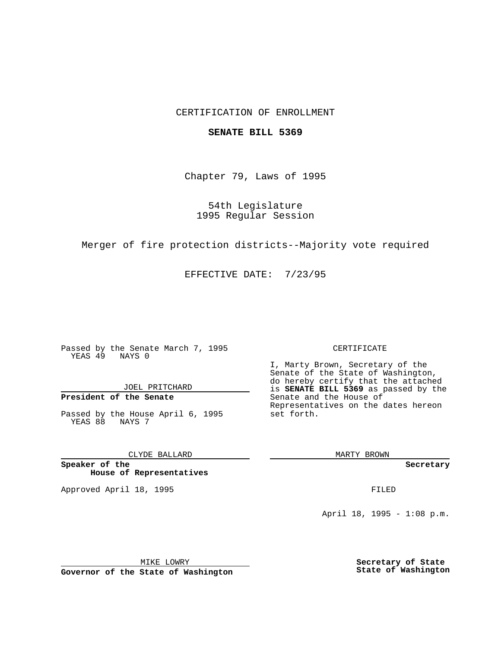## CERTIFICATION OF ENROLLMENT

#### **SENATE BILL 5369**

Chapter 79, Laws of 1995

## 54th Legislature 1995 Regular Session

Merger of fire protection districts--Majority vote required

EFFECTIVE DATE: 7/23/95

Passed by the Senate March 7, 1995 YEAS 49 NAYS 0

JOEL PRITCHARD

# **President of the Senate**

Passed by the House April 6, 1995 YEAS 88 NAYS 7

CLYDE BALLARD

**Speaker of the House of Representatives**

Approved April 18, 1995 FILED

#### CERTIFICATE

I, Marty Brown, Secretary of the Senate of the State of Washington, do hereby certify that the attached is **SENATE BILL 5369** as passed by the Senate and the House of Representatives on the dates hereon set forth.

MARTY BROWN

**Secretary**

April 18, 1995 - 1:08 p.m.

MIKE LOWRY **Governor of the State of Washington** **Secretary of State State of Washington**